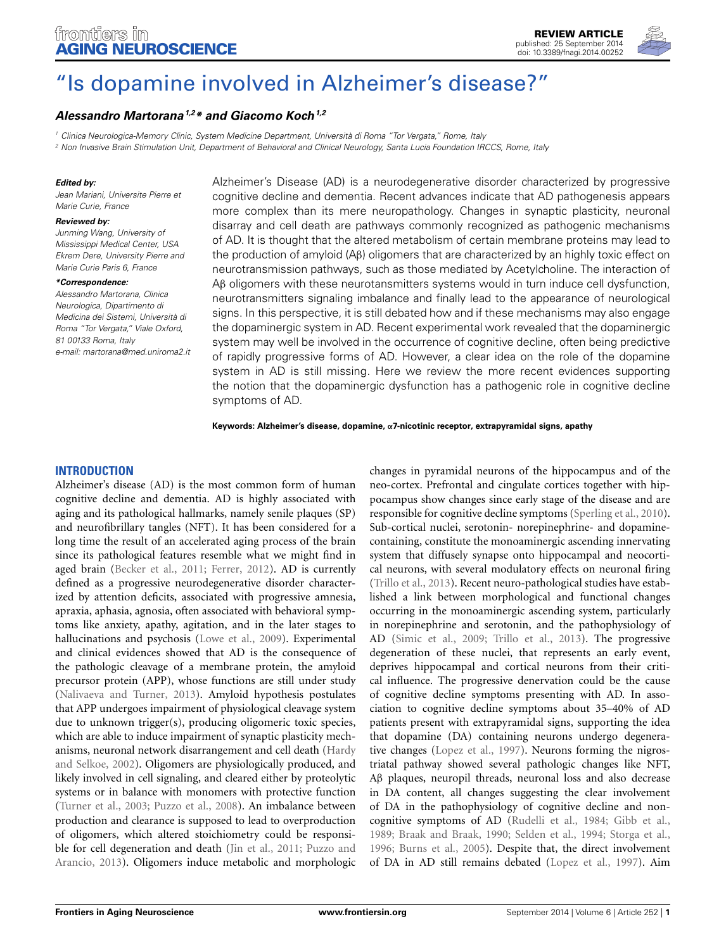

# ["Is dopamine involved in Alzheimer's disease?"](http://www.frontiersin.org/journal/10.3389/fnagi.2014.00252/abstract)

# *[Alessandro Martorana1](http://community.frontiersin.org/people/u/80227),2\* and [Giacomo Koch1](http://community.frontiersin.org/people/u/29046),2*

*<sup>1</sup> Clinica Neurologica-Memory Clinic, System Medicine Department, Università di Roma "Tor Vergata," Rome, Italy*

*<sup>2</sup> Non Invasive Brain Stimulation Unit, Department of Behavioral and Clinical Neurology, Santa Lucia Foundation IRCCS, Rome, Italy*

#### *Edited by:*

*Jean Mariani, Universite Pierre et Marie Curie, France*

#### *Reviewed by:*

*Junming Wang, University of Mississippi Medical Center, USA Ekrem Dere, University Pierre and Marie Curie Paris 6, France*

#### *\*Correspondence:*

*Alessandro Martorana, Clinica Neurologica, Dipartimento di Medicina dei Sistemi, Università di Roma "Tor Vergata," Viale Oxford, 81 00133 Roma, Italy e-mail: [martorana@med.uniroma2.it](mailto:martorana@med.uniroma2.it)* Alzheimer's Disease (AD) is a neurodegenerative disorder characterized by progressive cognitive decline and dementia. Recent advances indicate that AD pathogenesis appears more complex than its mere neuropathology. Changes in synaptic plasticity, neuronal disarray and cell death are pathways commonly recognized as pathogenic mechanisms of AD. It is thought that the altered metabolism of certain membrane proteins may lead to the production of amyloid (Aβ) oligomers that are characterized by an highly toxic effect on neurotransmission pathways, such as those mediated by Acetylcholine. The interaction of Aβ oligomers with these neurotansmitters systems would in turn induce cell dysfunction, neurotransmitters signaling imbalance and finally lead to the appearance of neurological signs. In this perspective, it is still debated how and if these mechanisms may also engage the dopaminergic system in AD. Recent experimental work revealed that the dopaminergic system may well be involved in the occurrence of cognitive decline, often being predictive of rapidly progressive forms of AD. However, a clear idea on the role of the dopamine system in AD is still missing. Here we review the more recent evidences supporting the notion that the dopaminergic dysfunction has a pathogenic role in cognitive decline symptoms of AD.

**Keywords: Alzheimer's disease, dopamine, α7-nicotinic receptor, extrapyramidal signs, apathy**

# **INTRODUCTION**

Alzheimer's disease (AD) is the most common form of human cognitive decline and dementia. AD is highly associated with aging and its pathological hallmarks, namely senile plaques (SP) and neurofibrillary tangles (NFT). It has been considered for a long time the result of an accelerated aging process of the brain since its pathological features resemble what we might find in aged brain [\(Becker et al., 2011](#page-3-0); [Ferrer, 2012\)](#page-4-0). AD is currently defined as a progressive neurodegenerative disorder characterized by attention deficits, associated with progressive amnesia, apraxia, aphasia, agnosia, often associated with behavioral symptoms like anxiety, apathy, agitation, and in the later stages to hallucinations and psychosis [\(Lowe et al., 2009](#page-4-1)). Experimental and clinical evidences showed that AD is the consequence of the pathologic cleavage of a membrane protein, the amyloid precursor protein (APP), whose functions are still under study [\(Nalivaeva and Turner](#page-4-2), [2013\)](#page-4-2). Amyloid hypothesis postulates that APP undergoes impairment of physiological cleavage system due to unknown trigger(s), producing oligomeric toxic species, which are able to induce impairment of synaptic plasticity mechanisms, ne[uronal network disarrangement and cell death \(](#page-4-3)Hardy and Selkoe, [2002](#page-4-3)). Oligomers are physiologically produced, and likely involved in cell signaling, and cleared either by proteolytic systems or in balance with monomers with protective function [\(Turner et al.](#page-5-0), [2003;](#page-5-0) [Puzzo et al.](#page-4-4), [2008\)](#page-4-4). An imbalance between production and clearance is supposed to lead to overproduction of oligomers, which altered stoichiometry could be responsible for [cell](#page-4-6) [degeneration](#page-4-6) [and](#page-4-6) [death](#page-4-6) [\(Jin et al.](#page-4-5)[,](#page-4-6) [2011;](#page-4-5) Puzzo and Arancio, [2013\)](#page-4-6). Oligomers induce metabolic and morphologic

changes in pyramidal neurons of the hippocampus and of the neo-cortex. Prefrontal and cingulate cortices together with hippocampus show changes since early stage of the disease and are responsible for cognitive decline symptoms [\(Sperling et al., 2010](#page-5-1)). Sub-cortical nuclei, serotonin- norepinephrine- and dopaminecontaining, constitute the monoaminergic ascending innervating system that diffusely synapse onto hippocampal and neocortical neurons, with several modulatory effects on neuronal firing [\(Trillo et al., 2013](#page-5-2)). Recent neuro-pathological studies have established a link between morphological and functional changes occurring in the monoaminergic ascending system, particularly in norepinephrine and serotonin, and the pathophysiology of AD [\(Simic et al., 2009](#page-5-3); [Trillo et al.](#page-5-2), [2013\)](#page-5-2). The progressive degeneration of these nuclei, that represents an early event, deprives hippocampal and cortical neurons from their critical influence. The progressive denervation could be the cause of cognitive decline symptoms presenting with AD. In association to cognitive decline symptoms about 35–40% of AD patients present with extrapyramidal signs, supporting the idea that dopamine (DA) containing neurons undergo degenerative changes [\(Lopez et al., 1997\)](#page-4-7). Neurons forming the nigrostriatal pathway showed several pathologic changes like NFT, Aβ plaques, neuropil threads, neuronal loss and also decrease in DA content, all changes suggesting the clear involvement of DA in the pathophysiology of cognitive decline and noncognitive symptoms of AD [\(Rudelli et al., 1984;](#page-5-4) [Gibb et al.,](#page-4-8) [1989](#page-4-8); [Braak and Braak, 1990;](#page-3-1) [Selden et al., 1994;](#page-5-5) [Storga et al.,](#page-5-6) [1996](#page-5-6); [Burns et al., 2005](#page-3-2)). Despite that, the direct involvement of DA in AD still remains debated [\(Lopez et al., 1997](#page-4-7)). Aim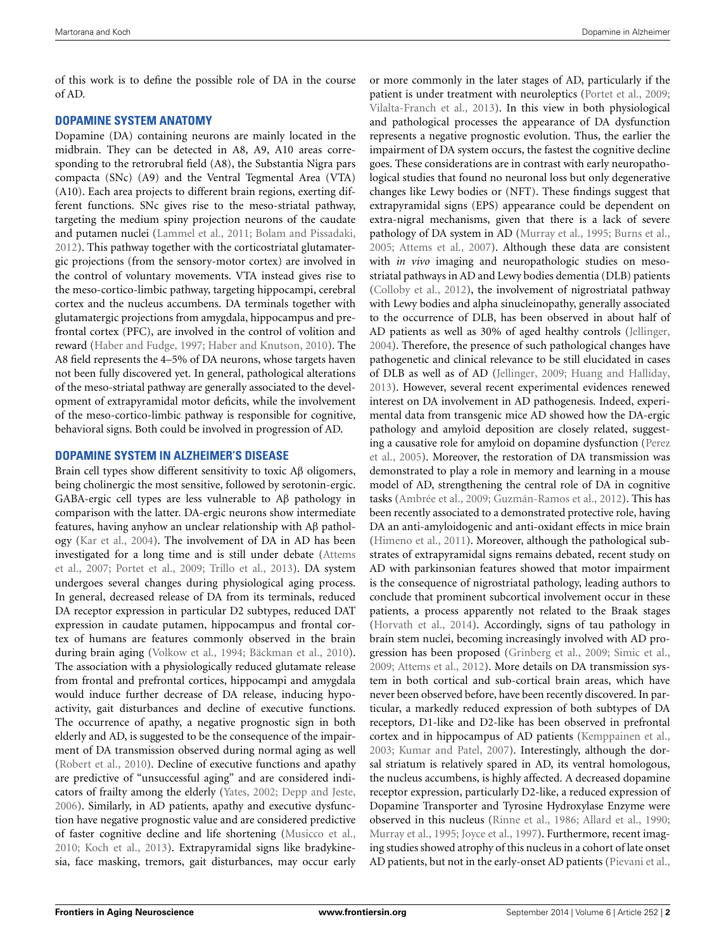of this work is to define the possible role of DA in the course of AD.

## **DOPAMINE SYSTEM ANATOMY**

Dopamine (DA) containing neurons are mainly located in the midbrain. They can be detected in A8, A9, A10 areas corresponding to the retrorubral field (A8), the Substantia Nigra pars compacta (SNc) (A9) and the Ventral Tegmental Area (VTA) (A10). Each area projects to different brain regions, exerting different functions. SNc gives rise to the meso-striatal pathway, targeting the medium spiny projection neurons of the caudate and putamen nuclei [\(Lammel et al.](#page-4-9), [2011;](#page-4-9) [Bolam and Pissadaki,](#page-3-3) [2012](#page-3-3)). This pathway together with the corticostriatal glutamatergic projections (from the sensory-motor cortex) are involved in the control of voluntary movements. VTA instead gives rise to the meso-cortico-limbic pathway, targeting hippocampi, cerebral cortex and the nucleus accumbens. DA terminals together with glutamatergic projections from amygdala, hippocampus and prefrontal cortex (PFC), are involved in the control of volition and reward [\(Haber and Fudge](#page-4-10), [1997](#page-4-10); [Haber and Knutson, 2010\)](#page-4-11). The A8 field represents the 4–5% of DA neurons, whose targets haven not been fully discovered yet. In general, pathological alterations of the meso-striatal pathway are generally associated to the development of extrapyramidal motor deficits, while the involvement of the meso-cortico-limbic pathway is responsible for cognitive, behavioral signs. Both could be involved in progression of AD.

## **DOPAMINE SYSTEM IN ALZHEIMER'S DISEASE**

Brain cell types show different sensitivity to toxic Aβ oligomers, being cholinergic the most sensitive, followed by serotonin-ergic. GABA-ergic cell types are less vulnerable to Aβ pathology in comparison with the latter. DA-ergic neurons show intermediate features, having anyhow an unclear relationship with Aβ pathology [\(Kar et al., 2004\)](#page-4-12). The involvement of DA in AD has been inves[tigated for a long time and is still under debate \(](#page-3-4)Attems et al., [2007;](#page-3-4) [Portet et al., 2009;](#page-4-13) [Trillo et al., 2013](#page-5-2)). DA system undergoes several changes during physiological aging process. In general, decreased release of DA from its terminals, reduced DA receptor expression in particular D2 subtypes, reduced DAT expression in caudate putamen, hippocampus and frontal cortex of humans are features commonly observed in the brain during brain aging [\(Volkow et al.](#page-5-7), [1994](#page-5-7); [Bäckman et al.](#page-3-5), [2010](#page-3-5)). The association with a physiologically reduced glutamate release from frontal and prefrontal cortices, hippocampi and amygdala would induce further decrease of DA release, inducing hypoactivity, gait disturbances and decline of executive functions. The occurrence of apathy, a negative prognostic sign in both elderly and AD, is suggested to be the consequence of the impairment of DA transmission observed during normal aging as well [\(Robert et al., 2010](#page-5-8)). Decline of executive functions and apathy are predictive of "unsuccessful aging" and are considered indicators of frailty among the elderly [\(Yates](#page-5-9), [2002;](#page-5-9) [Depp and Jeste](#page-3-6), [2006](#page-3-6)). Similarly, in AD patients, apathy and executive dysfunction have negative prognostic value and are considered predictive of faster cognitive decline and life shortening [\(Musicco et al.](#page-4-14), [2010](#page-4-14); [Koch et al., 2013](#page-4-15)). Extrapyramidal signs like bradykinesia, face masking, tremors, gait disturbances, may occur early

or more commonly in the later stages of AD, particularly if the patient is under treatment with neuroleptics [\(Portet et al.](#page-4-13), [2009](#page-4-13); [Vilalta-Franch et al.](#page-5-10), [2013\)](#page-5-10). In this view in both physiological and pathological processes the appearance of DA dysfunction represents a negative prognostic evolution. Thus, the earlier the impairment of DA system occurs, the fastest the cognitive decline goes. These considerations are in contrast with early neuropathological studies that found no neuronal loss but only degenerative changes like Lewy bodies or (NFT). These findings suggest that extrapyramidal signs (EPS) appearance could be dependent on extra-nigral mechanisms, given that there is a lack of severe pathology of DA system in AD [\(Murray et al.](#page-4-16), [1995](#page-4-16); [Burns et al.](#page-3-2), [2005](#page-3-2); [Attems et al.](#page-3-4), [2007\)](#page-3-4). Although these data are consistent with *in vivo* imaging and neuropathologic studies on mesostriatal pathways in AD and Lewy bodies dementia (DLB) patients [\(Colloby et al., 2012\)](#page-3-7), the involvement of nigrostriatal pathway with Lewy bodies and alpha sinucleinopathy, generally associated to the occurrence of DLB, has been observed in about half of AD patients as well as 30% of aged healthy controls [\(Jellinger](#page-4-17), [2004](#page-4-17)). Therefore, the presence of such pathological changes have pathogenetic and clinical relevance to be still elucidated in cases of DLB as well as of AD [\(Jellinger, 2009;](#page-4-18) [Huang and Halliday](#page-4-19), [2013](#page-4-19)). However, several recent experimental evidences renewed interest on DA involvement in AD pathogenesis. Indeed, experimental data from transgenic mice AD showed how the DA-ergic pathology and amyloid deposition are closely related, suggesting a [causative role for amyloid on dopamine dysfunction \(](#page-4-20)Perez et al., [2005\)](#page-4-20). Moreover, the restoration of DA transmission was demonstrated to play a role in memory and learning in a mouse model of AD, strengthening the central role of DA in cognitive tasks [\(Ambrée et al., 2009](#page-3-8); [Guzmán-Ramos et al.](#page-4-21), [2012](#page-4-21)). This has been recently associated to a demonstrated protective role, having DA an anti-amyloidogenic and anti-oxidant effects in mice brain [\(Himeno et al.](#page-4-22), [2011](#page-4-22)). Moreover, although the pathological substrates of extrapyramidal signs remains debated, recent study on AD with parkinsonian features showed that motor impairment is the consequence of nigrostriatal pathology, leading authors to conclude that prominent subcortical involvement occur in these patients, a process apparently not related to the Braak stages [\(Horvath et al., 2014](#page-4-23)). Accordingly, signs of tau pathology in brain stem nuclei, becoming increasingly involved with AD progression has been proposed [\(Grinberg et al.](#page-4-24), [2009](#page-4-24); [Simic et al.](#page-5-3), [2009](#page-5-3); [Attems et al.](#page-3-9), [2012](#page-3-9)). More details on DA transmission system in both cortical and sub-cortical brain areas, which have never been observed before, have been recently discovered. In particular, a markedly reduced expression of both subtypes of DA receptors, D1-like and D2-like has been observed in prefrontal cortex and in hippocampus of AD patients [\(Kemppainen et al.](#page-4-25), [2003](#page-4-25); [Kumar and Patel](#page-4-26), [2007\)](#page-4-26). Interestingly, although the dorsal striatum is relatively spared in AD, its ventral homologous, the nucleus accumbens, is highly affected. A decreased dopamine receptor expression, particularly D2-like, a reduced expression of Dopamine Transporter and Tyrosine Hydroxylase Enzyme were observed in this nucleus [\(Rinne et al., 1986;](#page-5-11) [Allard et al., 1990](#page-3-10); [Murray et al., 1995](#page-4-16); [Joyce et al.](#page-4-27), [1997\)](#page-4-27). Furthermore, recent imaging studies showed atrophy of this nucleus in a cohort of late onset AD patients, but not in the early-onset AD patients [\(Pievani et al.](#page-4-28),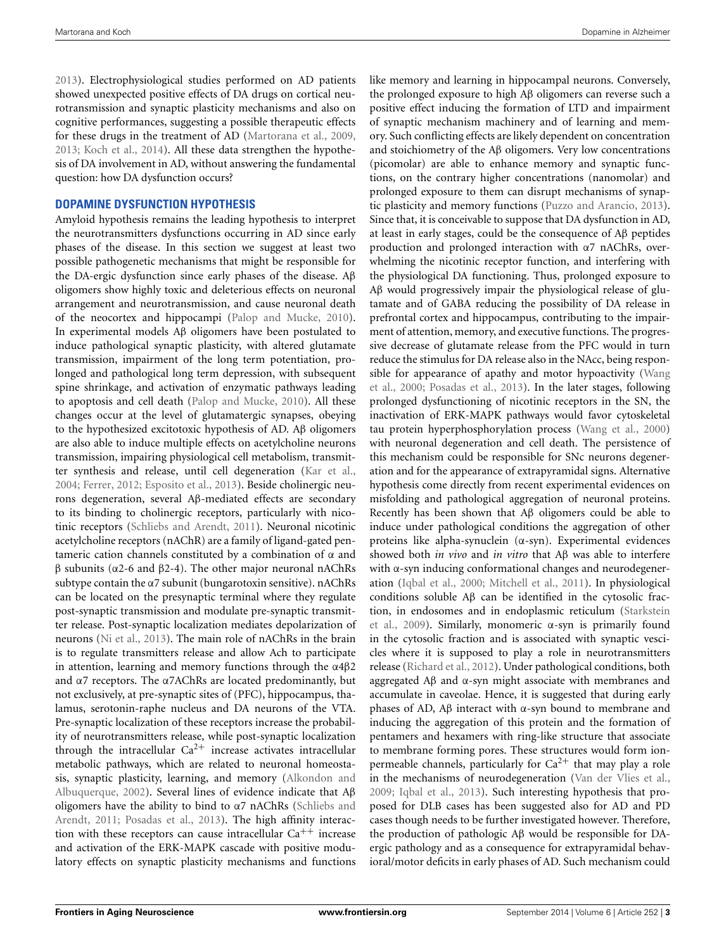[2013](#page-4-28)). Electrophysiological studies performed on AD patients showed unexpected positive effects of DA drugs on cortical neurotransmission and synaptic plasticity mechanisms and also on cognitive performances, suggesting a possible therapeutic effects for these drugs in the treatment of AD [\(Martorana et al., 2009,](#page-4-29) [2013](#page-4-30); [Koch et al.](#page-4-31), [2014](#page-4-31)). All these data strengthen the hypothesis of DA involvement in AD, without answering the fundamental question: how DA dysfunction occurs?

#### **DOPAMINE DYSFUNCTION HYPOTHESIS**

Amyloid hypothesis remains the leading hypothesis to interpret the neurotransmitters dysfunctions occurring in AD since early phases of the disease. In this section we suggest at least two possible pathogenetic mechanisms that might be responsible for the DA-ergic dysfunction since early phases of the disease. Aβ oligomers show highly toxic and deleterious effects on neuronal arrangement and neurotransmission, and cause neuronal death of the neocortex and hippocampi [\(Palop and Mucke, 2010](#page-4-32)). In experimental models Aβ oligomers have been postulated to induce pathological synaptic plasticity, with altered glutamate transmission, impairment of the long term potentiation, prolonged and pathological long term depression, with subsequent spine shrinkage, and activation of enzymatic pathways leading to apoptosis and cell death [\(Palop and Mucke](#page-4-32), [2010](#page-4-32)). All these changes occur at the level of glutamatergic synapses, obeying to the hypothesized excitotoxic hypothesis of AD. Aβ oligomers are also able to induce multiple effects on acetylcholine neurons transmission, impairing physiological cell metabolism, transmitter synthesis and release, until cell degeneration [\(Kar et al.,](#page-4-12) [2004](#page-4-12); [Ferrer](#page-4-0), [2012](#page-4-0); [Esposito et al., 2013](#page-3-11)). Beside cholinergic neurons degeneration, several Aβ-mediated effects are secondary to its binding to cholinergic receptors, particularly with nicotinic receptors [\(Schliebs and Arendt, 2011\)](#page-5-12). Neuronal nicotinic acetylcholine receptors (nAChR) are a family of ligand-gated pentameric cation channels constituted by a combination of α and β subunits (α2-6 and β2-4). The other major neuronal nAChRs subtype contain the α7 subunit (bungarotoxin sensitive). nAChRs can be located on the presynaptic terminal where they regulate post-synaptic transmission and modulate pre-synaptic transmitter release. Post-synaptic localization mediates depolarization of neurons [\(Ni et al., 2013](#page-4-33)). The main role of nAChRs in the brain is to regulate transmitters release and allow Ach to participate in attention, learning and memory functions through the  $α4β2$ and  $\alpha$ 7 receptors. The  $\alpha$ 7AChRs are located predominantly, but not exclusively, at pre-synaptic sites of (PFC), hippocampus, thalamus, serotonin-raphe nucleus and DA neurons of the VTA. Pre-synaptic localization of these receptors increase the probability of neurotransmitters release, while post-synaptic localization through the intracellular  $Ca^{2+}$  increase activates intracellular metabolic pathways, which are related to neuronal homeostasis, synaptic [plasticity, learning, and memory \(](#page-3-12)Alkondon and Albuquerque, [2002](#page-3-12)). Several lines of evidence indicate that Aβ oligo[mers have the ability to bind to](#page-5-12) α7 nAChRs (Schliebs and Arendt, [2011](#page-5-12); [Posadas et al.](#page-4-34), [2013](#page-4-34)). The high affinity interaction with these receptors can cause intracellular  $Ca^{++}$  increase and activation of the ERK-MAPK cascade with positive modulatory effects on synaptic plasticity mechanisms and functions

like memory and learning in hippocampal neurons. Conversely, the prolonged exposure to high Aβ oligomers can reverse such a positive effect inducing the formation of LTD and impairment of synaptic mechanism machinery and of learning and memory. Such conflicting effects are likely dependent on concentration and stoichiometry of the Aβ oligomers. Very low concentrations (picomolar) are able to enhance memory and synaptic functions, on the contrary higher concentrations (nanomolar) and prolonged exposure to them can disrupt mechanisms of synaptic plasticity and memory functions [\(Puzzo and Arancio, 2013](#page-4-6)). Since that, it is conceivable to suppose that DA dysfunction in AD, at least in early stages, could be the consequence of Aβ peptides production and prolonged interaction with α7 nAChRs, overwhelming the nicotinic receptor function, and interfering with the physiological DA functioning. Thus, prolonged exposure to Aβ would progressively impair the physiological release of glutamate and of GABA reducing the possibility of DA release in prefrontal cortex and hippocampus, contributing to the impairment of attention, memory, and executive functions. The progressive decrease of glutamate release from the PFC would in turn reduce the stimulus for DA release also in the NAcc, being responsible [for appearance of apathy and motor hypoactivity \(](#page-5-13)Wang et al., [2000;](#page-5-13) [Posadas et al., 2013](#page-4-34)). In the later stages, following prolonged dysfunctioning of nicotinic receptors in the SN, the inactivation of ERK-MAPK pathways would favor cytoskeletal tau protein hyperphosphorylation process [\(Wang et al., 2000](#page-5-13)) with neuronal degeneration and cell death. The persistence of this mechanism could be responsible for SNc neurons degeneration and for the appearance of extrapyramidal signs. Alternative hypothesis come directly from recent experimental evidences on misfolding and pathological aggregation of neuronal proteins. Recently has been shown that Aβ oligomers could be able to induce under pathological conditions the aggregation of other proteins like alpha-synuclein (α-syn). Experimental evidences showed both *in vivo* and *in vitro* that Aβ was able to interfere with α-syn inducing conformational changes and neurodegeneration [\(Iqbal et al., 2000;](#page-4-35) [Mitchell et al.](#page-4-36), [2011](#page-4-36)). In physiological conditions soluble Aβ can be identified in the cytosolic fraction, [in](#page-5-14) [endosomes](#page-5-14) [and](#page-5-14) [in](#page-5-14) [endoplasmic](#page-5-14) [reticulum](#page-5-14) [\(](#page-5-14)Starkstein et al., [2009\)](#page-5-14). Similarly, monomeric α-syn is primarily found in the cytosolic fraction and is associated with synaptic vescicles where it is supposed to play a role in neurotransmitters release [\(Richard et al.](#page-4-37), [2012](#page-4-37)). Under pathological conditions, both aggregated Aβ and α-syn might associate with membranes and accumulate in caveolae. Hence, it is suggested that during early phases of AD, Aβ interact with α-syn bound to membrane and inducing the aggregation of this protein and the formation of pentamers and hexamers with ring-like structure that associate to membrane forming pores. These structures would form ionpermeable channels, particularly for  $Ca^{2+}$  that may play a role in the mechanisms of neurodegeneration [\(Van der Vlies et al.,](#page-5-15) [2009](#page-5-15); [Iqbal et al.](#page-4-38), [2013](#page-4-38)). Such interesting hypothesis that proposed for DLB cases has been suggested also for AD and PD cases though needs to be further investigated however. Therefore, the production of pathologic Aβ would be responsible for DAergic pathology and as a consequence for extrapyramidal behavioral/motor deficits in early phases of AD. Such mechanism could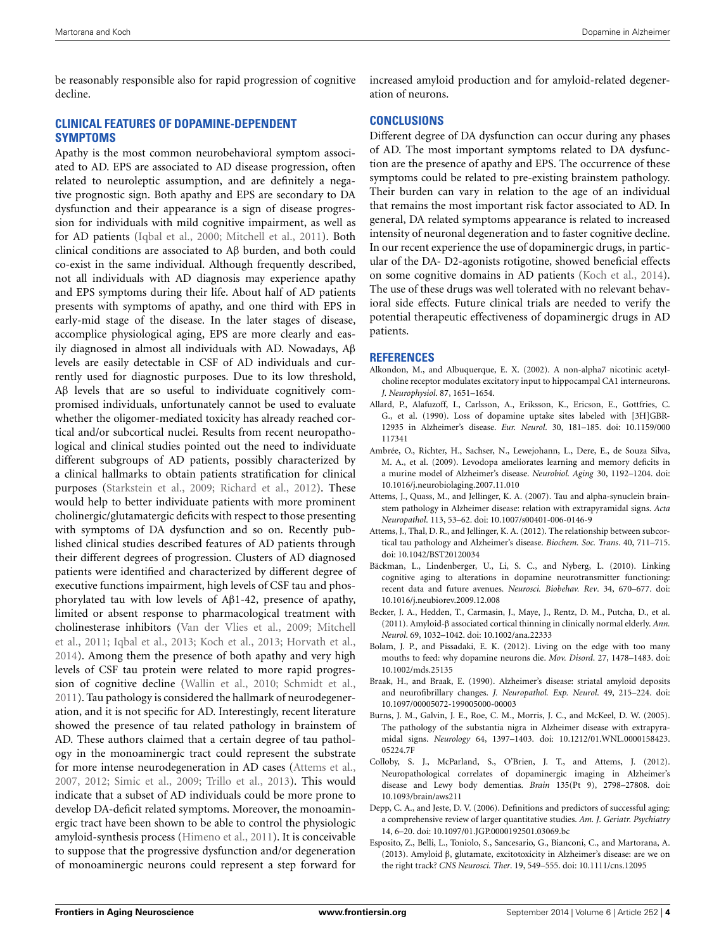be reasonably responsible also for rapid progression of cognitive decline.

## **CLINICAL FEATURES OF DOPAMINE-DEPENDENT SYMPTOMS**

Apathy is the most common neurobehavioral symptom associated to AD. EPS are associated to AD disease progression, often related to neuroleptic assumption, and are definitely a negative prognostic sign. Both apathy and EPS are secondary to DA dysfunction and their appearance is a sign of disease progression for individuals with mild cognitive impairment, as well as for AD patients [\(Iqbal et al., 2000;](#page-4-35) [Mitchell et al., 2011\)](#page-4-36). Both clinical conditions are associated to Aβ burden, and both could co-exist in the same individual. Although frequently described, not all individuals with AD diagnosis may experience apathy and EPS symptoms during their life. About half of AD patients presents with symptoms of apathy, and one third with EPS in early-mid stage of the disease. In the later stages of disease, accomplice physiological aging, EPS are more clearly and easily diagnosed in almost all individuals with AD. Nowadays, Aβ levels are easily detectable in CSF of AD individuals and currently used for diagnostic purposes. Due to its low threshold, Aβ levels that are so useful to individuate cognitively compromised individuals, unfortunately cannot be used to evaluate whether the oligomer-mediated toxicity has already reached cortical and/or subcortical nuclei. Results from recent neuropathological and clinical studies pointed out the need to individuate different subgroups of AD patients, possibly characterized by a clinical hallmarks to obtain patients stratification for clinical purposes [\(Starkstein et al.](#page-5-14), [2009](#page-5-14); [Richard et al., 2012\)](#page-4-37). These would help to better individuate patients with more prominent cholinergic/glutamatergic deficits with respect to those presenting with symptoms of DA dysfunction and so on. Recently published clinical studies described features of AD patients through their different degrees of progression. Clusters of AD diagnosed patients were identified and characterized by different degree of executive functions impairment, high levels of CSF tau and phosphorylated tau with low levels of Aβ1-42, presence of apathy, limited or absent response to pharmacological treatment with choli[nesterase](#page-4-36) [inhibitors](#page-4-36) [\(Van der Vlies et al.](#page-5-15)[,](#page-4-36) [2009](#page-5-15)[;](#page-4-36) Mitchell et al., [2011;](#page-4-36) [Iqbal et al., 2013;](#page-4-38) [Koch et al., 2013;](#page-4-15) [Horvath et al.](#page-4-23), [2014](#page-4-23)). Among them the presence of both apathy and very high levels of CSF tau protein were related to more rapid progression of cognitive decline [\(Wallin et al.](#page-5-16), [2010](#page-5-16); [Schmidt et al.](#page-5-17), [2011](#page-5-17)). Tau pathology is considered the hallmark of neurodegeneration, and it is not specific for AD. Interestingly, recent literature showed the presence of tau related pathology in brainstem of AD. These authors claimed that a certain degree of tau pathology in the monoaminergic tract could represent the substrate for more intense neurodegeneration in AD cases [\(Attems et al.](#page-3-4), [2007](#page-3-4), [2012;](#page-3-9) [Simic et al., 2009](#page-5-3); [Trillo et al.](#page-5-2), [2013\)](#page-5-2). This would indicate that a subset of AD individuals could be more prone to develop DA-deficit related symptoms. Moreover, the monoaminergic tract have been shown to be able to control the physiologic amyloid-synthesis process [\(Himeno et al.](#page-4-22), [2011\)](#page-4-22). It is conceivable to suppose that the progressive dysfunction and/or degeneration of monoaminergic neurons could represent a step forward for

increased amyloid production and for amyloid-related degeneration of neurons.

### **CONCLUSIONS**

Different degree of DA dysfunction can occur during any phases of AD. The most important symptoms related to DA dysfunction are the presence of apathy and EPS. The occurrence of these symptoms could be related to pre-existing brainstem pathology. Their burden can vary in relation to the age of an individual that remains the most important risk factor associated to AD. In general, DA related symptoms appearance is related to increased intensity of neuronal degeneration and to faster cognitive decline. In our recent experience the use of dopaminergic drugs, in particular of the DA- D2-agonists rotigotine, showed beneficial effects on some cognitive domains in AD patients [\(Koch et al.](#page-4-31), [2014\)](#page-4-31). The use of these drugs was well tolerated with no relevant behavioral side effects. Future clinical trials are needed to verify the potential therapeutic effectiveness of dopaminergic drugs in AD patients.

#### **REFERENCES**

- <span id="page-3-12"></span>Alkondon, M., and Albuquerque, E. X. (2002). A non-alpha7 nicotinic acetylcholine receptor modulates excitatory input to hippocampal CA1 interneurons. *J. Neurophysiol*. 87, 1651–1654.
- <span id="page-3-10"></span>Allard, P., Alafuzoff, I., Carlsson, A., Eriksson, K., Ericson, E., Gottfries, C. G., et al. (1990). Loss of dopamine uptake sites labeled with [3H]GBR-12935 in Alzheimer's disease. *Eur. Neurol*. 30, 181–185. doi: 10.1159/000 117341
- <span id="page-3-8"></span>Ambrée, O., Richter, H., Sachser, N., Lewejohann, L., Dere, E., de Souza Silva, M. A., et al. (2009). Levodopa ameliorates learning and memory deficits in a murine model of Alzheimer's disease. *Neurobiol. Aging* 30, 1192–1204. doi: 10.1016/j.neurobiolaging.2007.11.010
- <span id="page-3-4"></span>Attems, J., Quass, M., and Jellinger, K. A. (2007). Tau and alpha-synuclein brainstem pathology in Alzheimer disease: relation with extrapyramidal signs. *Acta Neuropathol*. 113, 53–62. doi: 10.1007/s00401-006-0146-9
- <span id="page-3-9"></span>Attems, J., Thal, D. R., and Jellinger, K. A. (2012). The relationship between subcortical tau pathology and Alzheimer's disease. *Biochem. Soc. Trans*. 40, 711–715. doi: 10.1042/BST20120034
- <span id="page-3-5"></span>Bäckman, L., Lindenberger, U., Li, S. C., and Nyberg, L. (2010). Linking cognitive aging to alterations in dopamine neurotransmitter functioning: recent data and future avenues. *Neurosci. Biobehav. Rev*. 34, 670–677. doi: 10.1016/j.neubiorev.2009.12.008
- <span id="page-3-0"></span>Becker, J. A., Hedden, T., Carmasin, J., Maye, J., Rentz, D. M., Putcha, D., et al. (2011). Amyloid-β associated cortical thinning in clinically normal elderly. *Ann. Neurol*. 69, 1032–1042. doi: 10.1002/ana.22333
- <span id="page-3-3"></span>Bolam, J. P., and Pissadaki, E. K. (2012). Living on the edge with too many mouths to feed: why dopamine neurons die. *Mov. Disord*. 27, 1478–1483. doi: 10.1002/mds.25135
- <span id="page-3-1"></span>Braak, H., and Braak, E. (1990). Alzheimer's disease: striatal amyloid deposits and neurofibrillary changes. *J. Neuropathol. Exp. Neurol*. 49, 215–224. doi: 10.1097/00005072-199005000-00003
- <span id="page-3-2"></span>Burns, J. M., Galvin, J. E., Roe, C. M., Morris, J. C., and McKeel, D. W. (2005). The pathology of the substantia nigra in Alzheimer disease with extrapyramidal signs. *Neurology* 64, 1397–1403. doi: 10.1212/01.WNL.0000158423. 05224.7F
- <span id="page-3-7"></span>Colloby, S. J., McParland, S., O'Brien, J. T., and Attems, J. (2012). Neuropathological correlates of dopaminergic imaging in Alzheimer's disease and Lewy body dementias. *Brain* 135(Pt 9), 2798–27808. doi: 10.1093/brain/aws211
- <span id="page-3-6"></span>Depp, C. A., and Jeste, D. V. (2006). Definitions and predictors of successful aging: a comprehensive review of larger quantitative studies. *Am. J. Geriatr. Psychiatry* 14, 6–20. doi: 10.1097/01.JGP.0000192501.03069.bc
- <span id="page-3-11"></span>Esposito, Z., Belli, L., Toniolo, S., Sancesario, G., Bianconi, C., and Martorana, A. (2013). Amyloid β, glutamate, excitotoxicity in Alzheimer's disease: are we on the right track? *CNS Neurosci. Ther*. 19, 549–555. doi: 10.1111/cns.12095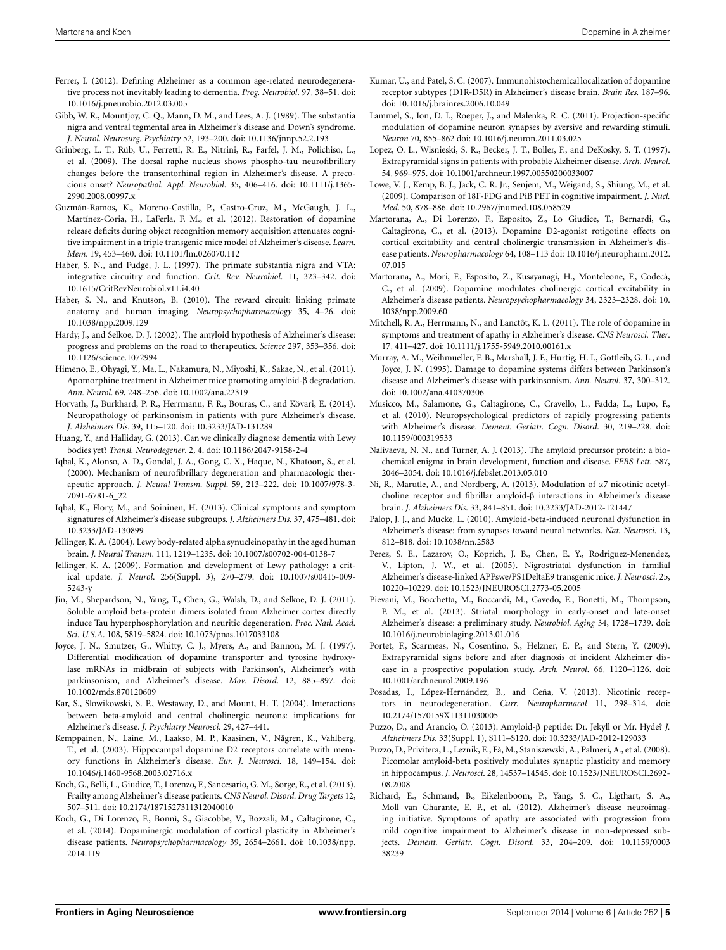- <span id="page-4-0"></span>Ferrer, I. (2012). Defining Alzheimer as a common age-related neurodegenerative process not inevitably leading to dementia. *Prog. Neurobiol*. 97, 38–51. doi: 10.1016/j.pneurobio.2012.03.005
- <span id="page-4-8"></span>Gibb, W. R., Mountjoy, C. Q., Mann, D. M., and Lees, A. J. (1989). The substantia nigra and ventral tegmental area in Alzheimer's disease and Down's syndrome. *J. Neurol. Neurosurg. Psychiatry* 52, 193–200. doi: 10.1136/jnnp.52.2.193
- <span id="page-4-24"></span>Grinberg, L. T., Rüb, U., Ferretti, R. E., Nitrini, R., Farfel, J. M., Polichiso, L., et al. (2009). The dorsal raphe nucleus shows phospho-tau neurofibrillary changes before the transentorhinal region in Alzheimer's disease. A precocious onset? *Neuropathol. Appl. Neurobiol*. 35, 406–416. doi: 10.1111/j.1365- 2990.2008.00997.x
- <span id="page-4-21"></span>Guzmán-Ramos, K., Moreno-Castilla, P., Castro-Cruz, M., McGaugh, J. L., Martínez-Coria, H., LaFerla, F. M., et al. (2012). Restoration of dopamine release deficits during object recognition memory acquisition attenuates cognitive impairment in a triple transgenic mice model of Alzheimer's disease. *Learn. Mem*. 19, 453–460. doi: 10.1101/lm.026070.112
- <span id="page-4-10"></span>Haber, S. N., and Fudge, J. L. (1997). The primate substantia nigra and VTA: integrative circuitry and function. *Crit. Rev. Neurobiol*. 11, 323–342. doi: 10.1615/CritRevNeurobiol.v11.i4.40
- <span id="page-4-11"></span>Haber, S. N., and Knutson, B. (2010). The reward circuit: linking primate anatomy and human imaging. *Neuropsychopharmacology* 35, 4–26. doi: 10.1038/npp.2009.129
- <span id="page-4-3"></span>Hardy, J., and Selkoe, D. J. (2002). The amyloid hypothesis of Alzheimer's disease: progress and problems on the road to therapeutics. *Science* 297, 353–356. doi: 10.1126/science.1072994
- <span id="page-4-22"></span>Himeno, E., Ohyagi, Y., Ma, L., Nakamura, N., Miyoshi, K., Sakae, N., et al. (2011). Apomorphine treatment in Alzheimer mice promoting amyloid-β degradation. *Ann. Neurol*. 69, 248–256. doi: 10.1002/ana.22319
- <span id="page-4-23"></span>Horvath, J., Burkhard, P. R., Herrmann, F. R., Bouras, C., and Kövari, E. (2014). Neuropathology of parkinsonism in patients with pure Alzheimer's disease. *J. Alzheimers Dis*. 39, 115–120. doi: 10.3233/JAD-131289
- <span id="page-4-19"></span>Huang, Y., and Halliday, G. (2013). Can we clinically diagnose dementia with Lewy bodies yet? *Transl. Neurodegener*. 2, 4. doi: 10.1186/2047-9158-2-4
- <span id="page-4-35"></span>Iqbal, K., Alonso, A. D., Gondal, J. A., Gong, C. X., Haque, N., Khatoon, S., et al. (2000). Mechanism of neurofibrillary degeneration and pharmacologic therapeutic approach. *J. Neural Transm. Suppl*. 59, 213–222. doi: 10.1007/978-3- 7091-6781-6\_22
- <span id="page-4-38"></span>Iqbal, K., Flory, M., and Soininen, H. (2013). Clinical symptoms and symptom signatures of Alzheimer's disease subgroups. *J. Alzheimers Dis*. 37, 475–481. doi: 10.3233/JAD-130899
- <span id="page-4-17"></span>Jellinger, K. A. (2004). Lewy body-related alpha synucleinopathy in the aged human brain. *J. Neural Transm*. 111, 1219–1235. doi: 10.1007/s00702-004-0138-7
- <span id="page-4-18"></span>Jellinger, K. A. (2009). Formation and development of Lewy pathology: a critical update. *J. Neurol*. 256(Suppl. 3), 270–279. doi: 10.1007/s00415-009- 5243-y
- <span id="page-4-5"></span>Jin, M., Shepardson, N., Yang, T., Chen, G., Walsh, D., and Selkoe, D. J. (2011). Soluble amyloid beta-protein dimers isolated from Alzheimer cortex directly induce Tau hyperphosphorylation and neuritic degeneration. *Proc. Natl. Acad. Sci. U.S.A*. 108, 5819–5824. doi: 10.1073/pnas.1017033108
- <span id="page-4-27"></span>Joyce, J. N., Smutzer, G., Whitty, C. J., Myers, A., and Bannon, M. J. (1997). Differential modification of dopamine transporter and tyrosine hydroxylase mRNAs in midbrain of subjects with Parkinson's, Alzheimer's with parkinsonism, and Alzheimer's disease. *Mov. Disord*. 12, 885–897. doi: 10.1002/mds.870120609
- <span id="page-4-12"></span>Kar, S., Slowikowski, S. P., Westaway, D., and Mount, H. T. (2004). Interactions between beta-amyloid and central cholinergic neurons: implications for Alzheimer's disease. *J. Psychiatry Neurosci*. 29, 427–441.
- <span id="page-4-25"></span>Kemppainen, N., Laine, M., Laakso, M. P., Kaasinen, V., Någren, K., Vahlberg, T., et al. (2003). Hippocampal dopamine D2 receptors correlate with memory functions in Alzheimer's disease. *Eur. J. Neurosci.* 18, 149–154. doi: 10.1046/j.1460-9568.2003.02716.x
- <span id="page-4-15"></span>Koch, G., Belli, L., Giudice, T., Lorenzo, F., Sancesario, G. M., Sorge, R., et al. (2013). Frailty among Alzheimer's disease patients. *CNS Neurol. Disord. Drug Targets* 12, 507–511. doi: 10.2174/1871527311312040010
- <span id="page-4-31"></span>Koch, G., Di Lorenzo, F., Bonnì, S., Giacobbe, V., Bozzali, M., Caltagirone, C., et al. (2014). Dopaminergic modulation of cortical plasticity in Alzheimer's disease patients. *Neuropsychopharmacology* 39, 2654–2661. doi: 10.1038/npp. 2014.119
- <span id="page-4-26"></span>Kumar, U., and Patel, S. C. (2007). Immunohistochemical localization of dopamine receptor subtypes (D1R-D5R) in Alzheimer's disease brain. *Brain Res.* 187–96. doi: 10.1016/j.brainres.2006.10.049
- <span id="page-4-9"></span>Lammel, S., Ion, D. I., Roeper, J., and Malenka, R. C. (2011). Projection-specific modulation of dopamine neuron synapses by aversive and rewarding stimuli. *Neuron* 70, 855–862 doi: 10.1016/j.neuron.2011.03.025
- <span id="page-4-7"></span>Lopez, O. L., Wisnieski, S. R., Becker, J. T., Boller, F., and DeKosky, S. T. (1997). Extrapyramidal signs in patients with probable Alzheimer disease. *Arch. Neurol*. 54, 969–975. doi: 10.1001/archneur.1997.00550200033007
- <span id="page-4-1"></span>Lowe, V. J., Kemp, B. J., Jack, C. R. Jr., Senjem, M., Weigand, S., Shiung, M., et al. (2009). Comparison of 18F-FDG and PiB PET in cognitive impairment. *J. Nucl. Med*. 50, 878–886. doi: 10.2967/jnumed.108.058529
- <span id="page-4-30"></span>Martorana, A., Di Lorenzo, F., Esposito, Z., Lo Giudice, T., Bernardi, G., Caltagirone, C., et al. (2013). Dopamine D2-agonist rotigotine effects on cortical excitability and central cholinergic transmission in Alzheimer's disease patients. *Neuropharmacology* 64, 108–113 doi: 10.1016/j.neuropharm.2012. 07.015
- <span id="page-4-29"></span>Martorana, A., Mori, F., Esposito, Z., Kusayanagi, H., Monteleone, F., Codecà, C., et al. (2009). Dopamine modulates cholinergic cortical excitability in Alzheimer's disease patients. *Neuropsychopharmacology* 34, 2323–2328. doi: 10. 1038/npp.2009.60
- <span id="page-4-36"></span>Mitchell, R. A., Herrmann, N., and Lanctôt, K. L. (2011). The role of dopamine in symptoms and treatment of apathy in Alzheimer's disease. *CNS Neurosci. Ther*. 17, 411–427. doi: 10.1111/j.1755-5949.2010.00161.x
- <span id="page-4-16"></span>Murray, A. M., Weihmueller, F. B., Marshall, J. F., Hurtig, H. I., Gottleib, G. L., and Joyce, J. N. (1995). Damage to dopamine systems differs between Parkinson's disease and Alzheimer's disease with parkinsonism. *Ann. Neurol*. 37, 300–312. doi: 10.1002/ana.410370306
- <span id="page-4-14"></span>Musicco, M., Salamone, G., Caltagirone, C., Cravello, L., Fadda, L., Lupo, F., et al. (2010). Neuropsychological predictors of rapidly progressing patients with Alzheimer's disease. *Dement. Geriatr. Cogn. Disord*. 30, 219–228. doi: 10.1159/000319533
- <span id="page-4-2"></span>Nalivaeva, N. N., and Turner, A. J. (2013). The amyloid precursor protein: a biochemical enigma in brain development, function and disease. *FEBS Lett*. 587, 2046–2054. doi: 10.1016/j.febslet.2013.05.010
- <span id="page-4-33"></span>Ni, R., Marutle, A., and Nordberg, A. (2013). Modulation of α7 nicotinic acetylcholine receptor and fibrillar amyloid-β interactions in Alzheimer's disease brain. *J. Alzheimers Dis*. 33, 841–851. doi: 10.3233/JAD-2012-121447
- <span id="page-4-32"></span>Palop, J. J., and Mucke, L. (2010). Amyloid-beta-induced neuronal dysfunction in Alzheimer's disease: from synapses toward neural networks. *Nat. Neurosci*. 13, 812–818. doi: 10.1038/nn.2583
- <span id="page-4-20"></span>Perez, S. E., Lazarov, O., Koprich, J. B., Chen, E. Y., Rodriguez-Menendez, V., Lipton, J. W., et al. (2005). Nigrostriatal dysfunction in familial Alzheimer's disease-linked APPswe/PS1DeltaE9 transgenic mice. *J. Neurosci*. 25, 10220–10229. doi: 10.1523/JNEUROSCI.2773-05.2005
- <span id="page-4-28"></span>Pievani, M., Bocchetta, M., Boccardi, M., Cavedo, E., Bonetti, M., Thompson, P. M., et al. (2013). Striatal morphology in early-onset and late-onset Alzheimer's disease: a preliminary study. *Neurobiol. Aging* 34, 1728–1739. doi: 10.1016/j.neurobiolaging.2013.01.016
- <span id="page-4-13"></span>Portet, F., Scarmeas, N., Cosentino, S., Helzner, E. P., and Stern, Y. (2009). Extrapyramidal signs before and after diagnosis of incident Alzheimer disease in a prospective population study. *Arch. Neurol*. 66, 1120–1126. doi: 10.1001/archneurol.2009.196
- <span id="page-4-34"></span>Posadas, I., López-Hernández, B., and Ceña, V. (2013). Nicotinic receptors in neurodegeneration. *Curr. Neuropharmacol* 11, 298–314. doi: 10.2174/1570159X11311030005
- <span id="page-4-6"></span>Puzzo, D., and Arancio, O. (2013). Amyloid-β peptide: Dr. Jekyll or Mr. Hyde? *J. Alzheimers Dis*. 33(Suppl. 1), S111–S120. doi: 10.3233/JAD-2012-129033
- <span id="page-4-4"></span>Puzzo, D., Privitera, L., Leznik, E., Fà, M., Staniszewski, A., Palmeri, A., et al. (2008). Picomolar amyloid-beta positively modulates synaptic plasticity and memory in hippocampus. *J. Neurosci*. 28, 14537–14545. doi: 10.1523/JNEUROSCI.2692- 08.2008
- <span id="page-4-37"></span>Richard, E., Schmand, B., Eikelenboom, P., Yang, S. C., Ligthart, S. A., Moll van Charante, E. P., et al. (2012). Alzheimer's disease neuroimaging initiative. Symptoms of apathy are associated with progression from mild cognitive impairment to Alzheimer's disease in non-depressed subjects. *Dement. Geriatr. Cogn. Disord*. 33, 204–209. doi: 10.1159/0003 38239